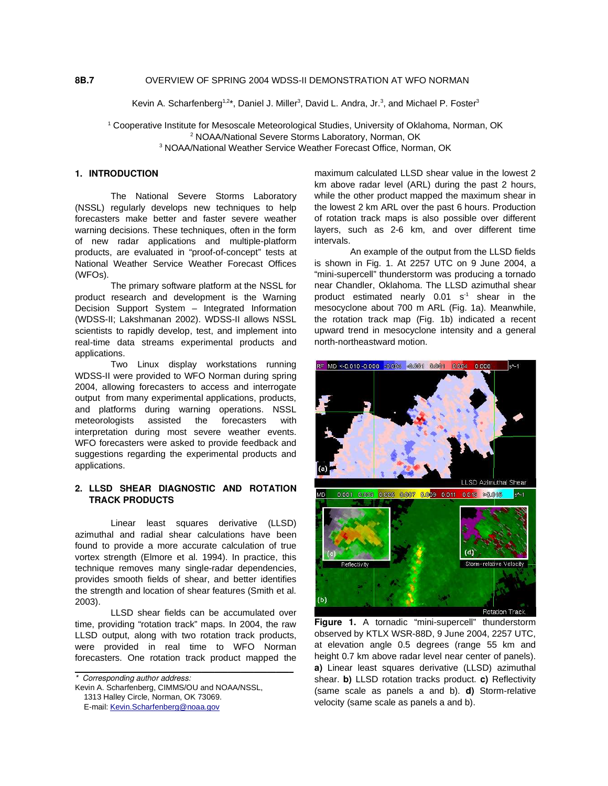#### **8B.7** OVERVIEW OF SPRING 2004 WDSS-II DEMONSTRATION AT WFO NORMAN

Kevin A. Scharfenberg<sup>1,2\*</sup>, Daniel J. Miller<sup>3</sup>, David L. Andra, Jr.<sup>3</sup>, and Michael P. Foster<sup>3</sup>

<sup>1</sup> Cooperative Institute for Mesoscale Meteorological Studies, University of Oklahoma, Norman, OK <sup>2</sup> NOAA/National Severe Storms Laboratory, Norman, OK <sup>3</sup> NOAA/National Weather Service Weather Forecast Office, Norman, OK

### **1. INTRODUCTION**

The National Severe Storms Laboratory (NSSL) regularly develops new techniques to help forecasters make better and faster severe weather warning decisions. These techniques, often in the form of new radar applications and multiple-platform products, are evaluated in "proof-of-concept" tests at National Weather Service Weather Forecast Offices (WFOs).

The primary software platform at the NSSL for product research and development is the Warning Decision Support System – Integrated Information (WDSS-II; Lakshmanan 2002). WDSS-II allows NSSL scientists to rapidly develop, test, and implement into real-time data streams experimental products and applications.

Two Linux display workstations running WDSS-II were provided to WFO Norman during spring 2004, allowing forecasters to access and interrogate output from many experimental applications, products, and platforms during warning operations. NSSL meteorologists assisted the forecasters with interpretation during most severe weather events. WFO forecasters were asked to provide feedback and suggestions regarding the experimental products and applications.

### **2. LLSD SHEAR DIAGNOSTIC AND ROTATION TRACK PRODUCTS**

Linear least squares derivative (LLSD) azimuthal and radial shear calculations have been found to provide a more accurate calculation of true vortex strength (Elmore et al. 1994). In practice, this technique removes many single-radar dependencies, provides smooth fields of shear, and better identifies the strength and location of shear features (Smith et al. 2003).

LLSD shear fields can be accumulated over time, providing "rotation track" maps. In 2004, the raw LLSD output, along with two rotation track products, were provided in real time to WFO Norman forecasters. One rotation track product mapped the

\_\_\_\_\_\_\_\_\_\_\_\_\_\_\_\_\_\_\_\_\_\_\_\_\_\_\_\_\_\_\_\_\_\_\_\_\_\_\_\_\_\_\_\_\_\_\_\_\_\_

*\* Corresponding author address:*

Kevin A. Scharfenberg, CIMMS/OU and NOAA/NSSL, 1313 Halley Circle, Norman, OK 73069. E-mail: Kevin.Scharfenberg@noaa.gov

maximum calculated LLSD shear value in the lowest 2 km above radar level (ARL) during the past 2 hours, while the other product mapped the maximum shear in the lowest 2 km ARL over the past 6 hours. Production of rotation track maps is also possible over different layers, such as 2-6 km, and over different time intervals.

An example of the output from the LLSD fields is shown in Fig. 1. At 2257 UTC on 9 June 2004, a "mini-supercell" thunderstorm was producing a tornado near Chandler, Oklahoma. The LLSD azimuthal shear product estimated nearly 0.01 s<sup>-1</sup> shear in the mesocyclone about 700 m ARL (Fig. 1a). Meanwhile, the rotation track map (Fig. 1b) indicated a recent upward trend in mesocyclone intensity and a general north-northeastward motion.



**Figure 1.** A tornadic "mini-supercell" thunderstorm observed by KTLX WSR-88D, 9 June 2004, 2257 UTC, at elevation angle 0.5 degrees (range 55 km and height 0.7 km above radar level near center of panels). **a)** Linear least squares derivative (LLSD) azimuthal shear. **b)** LLSD rotation tracks product. **c)** Reflectivity (same scale as panels a and b). **d)** Storm-relative velocity (same scale as panels a and b).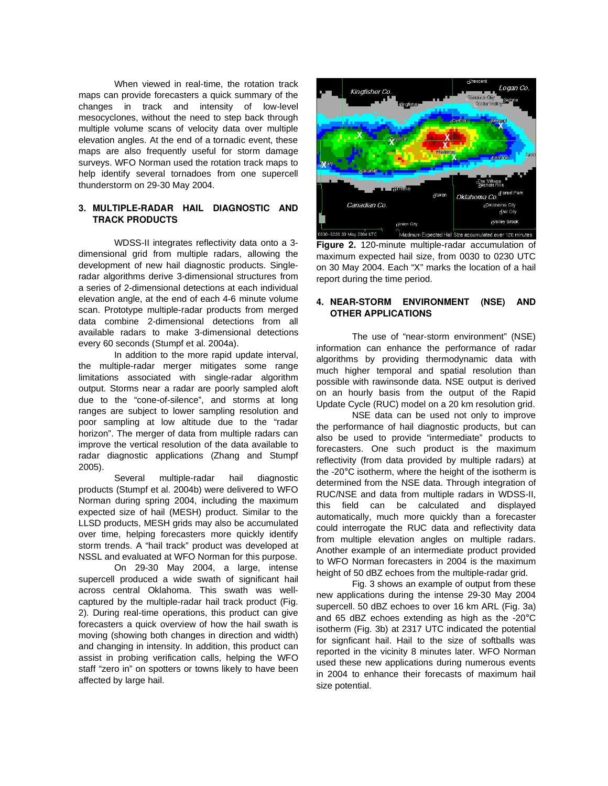When viewed in real-time, the rotation track maps can provide forecasters a quick summary of the changes in track and intensity of low-level mesocyclones, without the need to step back through multiple volume scans of velocity data over multiple elevation angles. At the end of a tornadic event, these maps are also frequently useful for storm damage surveys. WFO Norman used the rotation track maps to help identify several tornadoes from one supercell thunderstorm on 29-30 May 2004.

## **3. MULTIPLE-RADAR HAIL DIAGNOSTIC AND TRACK PRODUCTS**

WDSS-II integrates reflectivity data onto a 3 dimensional grid from multiple radars, allowing the development of new hail diagnostic products. Singleradar algorithms derive 3-dimensional structures from a series of 2-dimensional detections at each individual elevation angle, at the end of each 4-6 minute volume scan. Prototype multiple-radar products from merged data combine 2-dimensional detections from all available radars to make 3-dimensional detections every 60 seconds (Stumpf et al. 2004a).

In addition to the more rapid update interval, the multiple-radar merger mitigates some range limitations associated with single-radar algorithm output. Storms near a radar are poorly sampled aloft due to the "cone-of-silence", and storms at long ranges are subject to lower sampling resolution and poor sampling at low altitude due to the "radar horizon". The merger of data from multiple radars can improve the vertical resolution of the data available to radar diagnostic applications (Zhang and Stumpf 2005).

Several multiple-radar hail diagnostic products (Stumpf et al. 2004b) were delivered to WFO Norman during spring 2004, including the maximum expected size of hail (MESH) product. Similar to the LLSD products, MESH grids may also be accumulated over time, helping forecasters more quickly identify storm trends. A "hail track" product was developed at NSSL and evaluated at WFO Norman for this purpose.

On 29-30 May 2004, a large, intense supercell produced a wide swath of significant hail across central Oklahoma. This swath was wellcaptured by the multiple-radar hail track product (Fig. 2). During real-time operations, this product can give forecasters a quick overview of how the hail swath is moving (showing both changes in direction and width) and changing in intensity. In addition, this product can assist in probing verification calls, helping the WFO staff "zero in" on spotters or towns likely to have been affected by large hail.



**Figure 2.** 120-minute multiple-radar accumulation of maximum expected hail size, from 0030 to 0230 UTC on 30 May 2004. Each "X" marks the location of a hail report during the time period.

## **4. NEAR-STORM ENVIRONMENT (NSE) AND OTHER APPLICATIONS**

The use of "near-storm environment" (NSE) information can enhance the performance of radar algorithms by providing thermodynamic data with much higher temporal and spatial resolution than possible with rawinsonde data. NSE output is derived on an hourly basis from the output of the Rapid Update Cycle (RUC) model on a 20 km resolution grid.

NSE data can be used not only to improve the performance of hail diagnostic products, but can also be used to provide "intermediate" products to forecasters. One such product is the maximum reflectivity (from data provided by multiple radars) at the -20°C isotherm, where the height of the isotherm is determined from the NSE data. Through integration of RUC/NSE and data from multiple radars in WDSS-II, this field can be calculated and displayed automatically, much more quickly than a forecaster could interrogate the RUC data and reflectivity data from multiple elevation angles on multiple radars. Another example of an intermediate product provided to WFO Norman forecasters in 2004 is the maximum height of 50 dBZ echoes from the multiple-radar grid.

Fig. 3 shows an example of output from these new applications during the intense 29-30 May 2004 supercell. 50 dBZ echoes to over 16 km ARL (Fig. 3a) and 65 dBZ echoes extending as high as the -20°C isotherm (Fig. 3b) at 2317 UTC indicated the potential for signficant hail. Hail to the size of softballs was reported in the vicinity 8 minutes later. WFO Norman used these new applications during numerous events in 2004 to enhance their forecasts of maximum hail size potential.